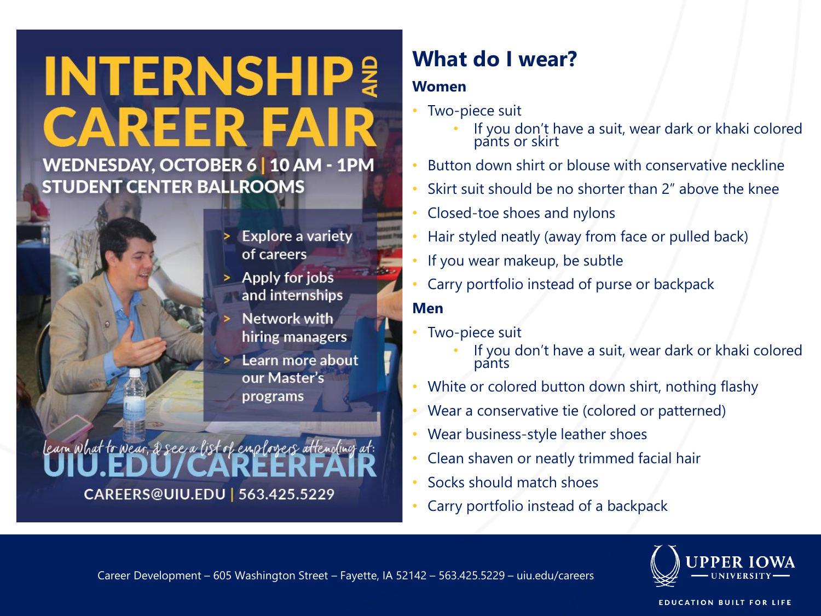# **INTERNSHIP! CAREER FAIR**

#### WEDNESDAY, OCTOBER 6 | 10 AM - 1PM **STUDENT CENTER BALLROOMS**



- Apply for jobs and internships
- Network with hiring managers
- Learn more about our Master's programs

## learn what to wear, 2 see a list of employers attending <u>at</u>: CAREERS@UIU.EDU | 563.425.5229

### **What do I wear?**

#### **Women**

- Two-piece suit
	- If you don't have a suit, wear dark or khaki colored pants or skirt
- Button down shirt or blouse with conservative neckline
- Skirt suit should be no shorter than 2" above the knee
- Closed-toe shoes and nylons
- Hair styled neatly (away from face or pulled back)
- If you wear makeup, be subtle
- Carry portfolio instead of purse or backpack

#### **Men**

- Two-piece suit
	- If you don't have a suit, wear dark or khaki colored pants
- White or colored button down shirt, nothing flashy
- Wear a conservative tie (colored or patterned)
- Wear business-style leather shoes
- Clean shaven or neatly trimmed facial hair
- Socks should match shoes
- Carry portfolio instead of a backpack



**EDUCATION BUILT FOR LIFE**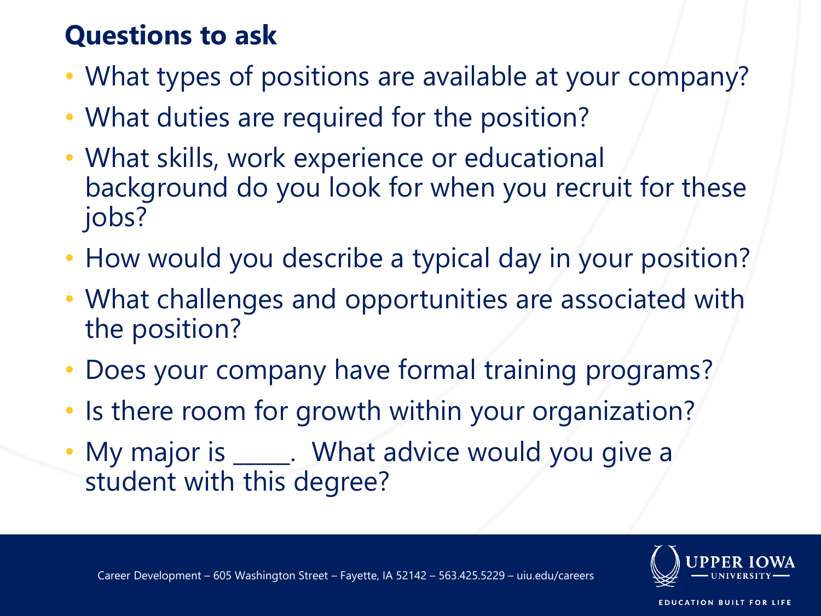### **Questions to ask**

- What types of positions are available at your company?
- What duties are required for the position?
- What skills, work experience or educational background do you look for when you recruit for these jobs?
- How would you describe a typical day in your position?
- What challenges and opportunities are associated with the position?
- Does your company have formal training programs?
- Is there room for growth within your organization?
- My major is \_\_\_\_\_. What advice would you give a student with this degree?





**EDUCATION BUILT FOR LIFE**